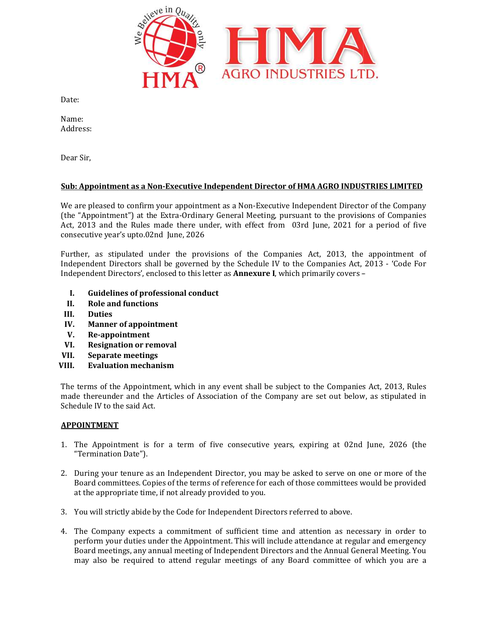

Date:

Name: Address:

Dear Sir,

# Sub: Appointment as a Non-Executive Independent Director of HMA AGRO INDUSTRIES LIMITED

We are pleased to confirm your appointment as a Non-Executive Independent Director of the Company (the "Appointment") at the Extra-Ordinary General Meeting, pursuant to the provisions of Companies Act, 2013 and the Rules made there under, with effect from 03rd June, 2021 for a period of five consecutive year's upto.02nd June, 2026

Further, as stipulated under the provisions of the Companies Act, 2013, the appointment of Independent Directors shall be governed by the Schedule IV to the Companies Act, 2013 Independent Directors', enclosed to this letter as **Annexure I**, which primarily covers -Further, as stipulated under the provisions of the Companies Act, 2013, the appointment of<br>Independent Directors shall be governed by the Schedule IV to the Companies Act, 2013 - 'Code For<br>Independent Directors', enclosed

- I. Guidelines of professional conduct
- II. Role and functions
- III. Duties
- IV. Manner of appointment
- V. Re-appointment
- VI. Resignation or removal
- VII. Separate meetings
- VIII. Evaluation mechanism

The terms of the Appointment, which in any event shall be subject to the Companies Act, 2013, Rules made thereunder and the Articles of Association of the Company are set out below, as stipulated in Schedule IV to the said Act. made thereunder and the Articles of Association of the Company are set out below, as stipulated in<br>Schedule IV to the said Act.<br>**APPOINTMENT**<br>1. The Appointment is for a term of five consecutive years, expiring at 02nd Jun intment, which in any event shall be subject to the Companies Act, 2013, Rules<br>the Articles of Association of the Company are set out below, as stipulated in<br>Act.<br>is for a term of five consecutive years, expiring at 02nd J

# APPOINTMENT

- "Termination Date").
- 2. During your tenure as an Independent Director, you may be asked to serve on one or more of the Board committees. Copies of the terms of reference for each of those committees would be provided at the appropriate time, if not already provided to you. During your tenure as an Independent Director, you may be asked to serve on one or more of the<br>Board committees. Copies of the terms of reference for each of those committees would be provided<br>at the appropriate time, if n
- 3. You will strictly abide by the Code for Independent Directors referred to above.
- 4. The Company expects a commitment of sufficient time and attention as necessary in order to perform your duties under the Appointment. This will include attendance at regular and Board meetings, any annual meeting of Independent Directors and the Annual General Meeting. You Board meetings, any annual meeting of Independent Directors and the Annual General Meeting. You<br>may also be required to attend regular meetings of any Board committee of which you are a are pleased to confirm your appointments as Non-Executive Independent Director of the Company<br>
"Appointment") at the Ristra-Ordinary General Meeting, pursuant to the provisions of Companies<br>
secutive year's upto.02nd June,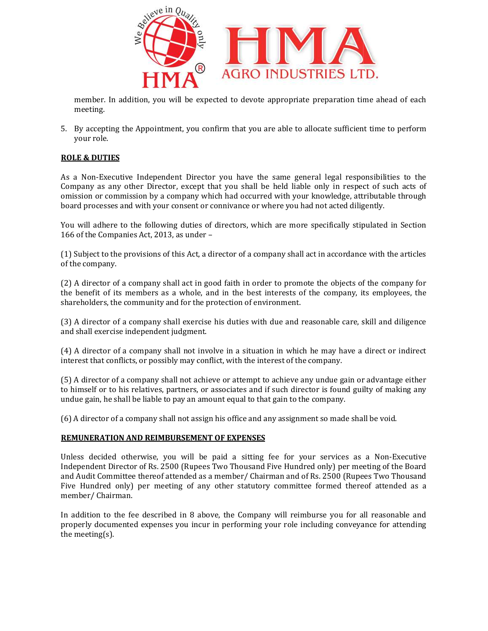

member. In addition, you will be expected to devote appropriate preparation time ahead of each meeting.

5. By accepting the Appointment, you confirm that you are able to allocate sufficient time to perform your role. 5. By accepting the Appointment, you confirm that you are able to allocate sufficient time to perform<br>
your role.<br> **ROLE & DUTIES**<br>
As a Non-Executive Independent Director you have the same general legal responsibilities t

# ROLE & DUTIES

Company as any other Director, except that you shall be held liable only in respect of such acts of omission or commission by a company which had occurred with your knowledge, attributable through board processes and with your consent or connivance or where you had not acted diligently. Company as any other Director, except that you shall be held liable only in respect of such acts of<br>omission or commission by a company which had occurred with your knowledge, attributable through<br>board processes and with member. In addition, you will be expected to devote appropriate preparation time ahead of each<br>meeting.<br>By accepting the Appointment, you confirm that you are able to allocate sufficient time to perform<br>your role.<br>I.E. **K.** 

You will adhere to the following duties of directors, which are more specifically stipulated in Section 166 of the Companies Act, 2013, as under You will adhere to the following duties of directors, which are more specifically stipulated in Section<br>166 of the Companies Act, 2013, as under –<br>(1) Subject to the provisions of this Act, a director of a company shall ac

of the company.

(2) A director of a company shall act in good faith in order to promote the objects of the company for the benefit of its members as a whole, and in the best interests of the comp shareholders, the community and for the protection of environment. (2) A director of a company shall act in good faith in order to promote the objects of the company for<br>the benefit of its members as a whole, and in the best interests of the company, its employees, the<br>shareholders, the c

(3) A director of a company shall exercise his duties with due and reasonable care, skill and diligence and shall exercise independent judgment.

(4) A director of a company shall not involve in a situation in which he may have a direct or indirect interest that conflicts, or possibly may conflict, with the interest of the company.

(5) A director of a company shall not achieve or attempt to achieve any undue gain to himself or to his relatives, partners, or associates and if such director is found guilty of making any undue gain, he shall be liable to pay an amount equal to that gain to the company.<br>(6) A director of a company shal undue gain, he shall be liable to pay an amount equal to that gain to the company.

(6) A director of a company shall not assign his office and any assignment so made shall be void.

# REMUNERATION AND REIMBURSEMENT OF EXPENSES REMUNERATION REIMBURSEMENT

Unless decided otherwise, you will be paid a sitting fee for your services as a Non-Executive Unless decided otherwise, you will be paid a sitting fee for your services as a Non-Executive<br>Independent Director of Rs. 2500 (Rupees Two Thousand Five Hundred only) per meeting of the Board Independent Director of Rs. 2500 (Rupees Two Thousand Five Hundred only) per meeting of the Board<br>and Audit Committee thereof attended as a member/ Chairman and of Rs. 2500 (Rupees Two Thousand Five Hundred only) per meeting of any other statutory committee formed thereof attended as a member/ Chairman.

In addition to the fee described in 8 above, the Company will reimburse you for all reasonable and properly documented expenses you incur in performing your rol the meeting(s). Five Hundred only) per meeting of any other statutory committee formed thereof attended as a<br>member/ Chairman.<br>In addition to the fee described in 8 above, the Company will reimburse you for all reasonable and<br>properly doc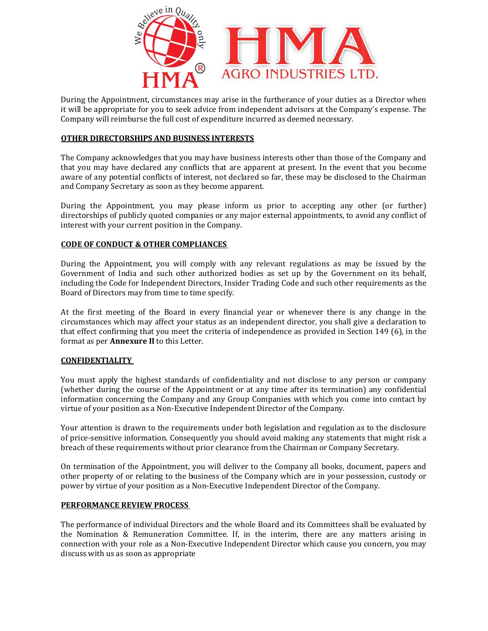

During the Appointment, circumstances may arise in the furtherance of your duties as a Director when it will be appropriate for you to seek advice from independent advisors at the Company's expense. Th Company will reimburse the full cost of expenditure incurred as deemed necessary. During the Appointment, circumstances may arise in the furtherance of your duties as a Director w<br>it will be appropriate for you to seek advice from independent advisors at the Company's expense.<br>Company will reimburse the

# <u>OTHER DIRECTORSHIPS AND BUSINESS INTERESTS</u>

The Company acknowledges that you may have business interests other than those of the Company and that you may have declared any conflicts that are apparent at present. In the event that you become aware of any potential conflicts of interest, not declared so far, these may be disclosed to the Chairman and Company Secretary as soon as they become apparent. During the Appointment, circuitantares may instead to the increase may in the formations of four distincts of Figure 2014 and Discuss so a Discuss of Figure 2014 and the increase of the Company's expense. The Company activ

During the Appointment, you may please inform us prior to accepting any other (or further) directorships of publicly quoted companies or any major external appointments, to avoid any conflict of interest with your current position in the Company.

## CODE OF CONDUCT & OTHER COMPLIANCES

During the Appointment, you will comply with any relevant regulations as may be issued by the Government of India and such other authorized bodies as set up by the Government on its behalf, including the Code for Independent Directors, Insider Trading Code and such other requirements as the Board of Directors may from time to time specify. The Company acknowledges that you may have business interests other than those of the Company and<br>that you may have declared any conflicts that are apparent at present. In the event that you become<br>aware of any potential c The Company acharowedges that you may have business interests other than those of the Company and<br>that you may have declared any conflicts that are apparent at present. In the event that you become<br>taware of any peterital

At the first meeting of the Board in every financial year or whenever there is any change in the circumstances which may affect your status as an independent director, you shall give a declaration to that effect confirming that you meet the criteria of independence as provided in Section 149 (6), in the format as per **Annexure II** to this Letter.

## **CONFIDENTIALITY**

You must apply the highest standards of confidentiality and not disclose to any person or company (whether during the course of the Appointment or at any time after its termination) any confidential that effect confirming that you meet the criteria of independence as provided in Section 149 (6), in the<br>format as per **Annexure II** to this Letter.<br>**CONFIDENTIALITY**<br>You must apply the highest standards of confidentiality virtue of your position as a Non-Executive Independent Director of the Company.

Your attention is drawn to the requirements under both legislation and regulation as to the disclosure of price-sensitive information. Consequently you should avoid making any statements that might risk a breach of these requirements without prior clearance from the Chairman or Company Secretary. virtue of your position as a Non-Executive Independent Director of the Company.<br>Your attention is drawn to the requirements under both legislation and regulation as to the disclosure<br>of price-sensitive information. Consequ

On termination of the Appointment, you will deliver to the Company all books, document, pape other property of or relating to the business of the Company which are in your possession, custody or power by virtue of your position as a Non-Executive Independent Director of the Company.

#### PERFORMANCE REVIEW PROCESS

The performance of individual Directors and the whole Board and its Committees shall be evaluated by the Nomination & Remuneration Committee. If, in the interim, there are any matters arising in connection with your role as a Non-Executive Independent Director which cause you concer discuss with us as soon as appropriate property of or relating to the business of the Company which are in your possession, custody or<br>The virtue of your position as a Non-Executive Independent Director of the Company.<br>**ORMANCE REVIEW PROCESS**<br>erformance of ind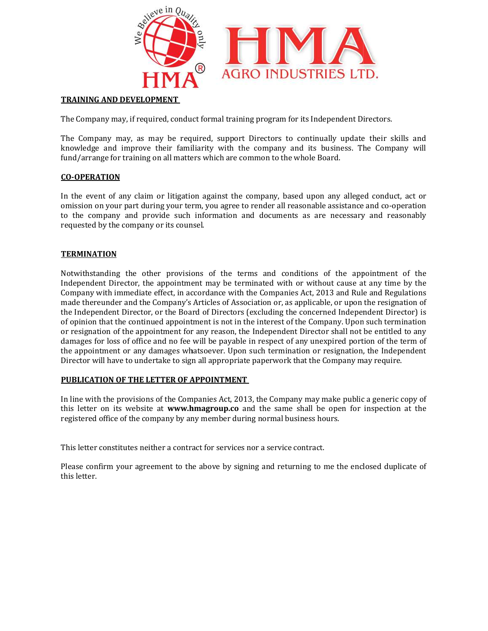

## TRAINING AND DEVELOPMENT

The Company may, if required, conduct formal training program for its Independent Directors.

The Company may, as may be required, support Directors to continually update their skills and knowledge and improve their familiarity with the company and its business. The Company will fund/arrange for training on all matters which are common to the whole Board. The Company may, if required, conduct formal training program for its Independent Directors.<br>The Company may, as may be required, support Directors to continually update their sk<br>knowledge and improve their familiarity wit The Company may, if required, conduct formal training program for its Independent Directors.<br>The Company may, as may be required, support Directors to continually update their skills and<br>knowledge and improve their familia

## CO-OPERATION

In the event of any claim or litigation against the company, based upon any alleged conduct, act or omission on your part during your term, you agree to render all reasonable assistance and co to the company and provide such information and documents as are necessary and reasonably requested by the company or its counsel. In the event of any claim or litigation against the company, based upon any alleged conduct, act or<br>omission on your part during your term, you agree to render all reasonable assistance and co-operation<br>to the company and

## **TERMINATION**

Notwithstanding the other provisions of the terms and conditions of the appointment of the Independent Director, the appointment may be terminated with or without Company with immediate effect, in accordance with the Companies Act, 2013 and Rule and Regulations made thereunder and the Company's Articles of Association or, as applicable, or upon the resignation of the Independent Director, or the Board of Directors (excluding the concerned Independent Director) is of opinion that the continued appointment is not in the interest of the Company. Upon such termination or resignation of the appointment for any reason, the Independent Director shal damages for loss of office and no fee will be payable in respect of any unexpired portion of the term of the appointment or any damages whatsoever. Upon such termination or resignation, the Independent Director will have to undertake to sign all appropriate paperwork that the Company may require. requested by the company or its counsel.<br>TERMINATION<br>Notwithstanding the other provisions of the terms and conditions of the appointment of the<br>Independent Director, the appointment may be terminated with or without cause Company with immediate effect, in accordance with the Companies Act, 2013 and Rule and Regulations<br>made thereunder and the Company's Articles of Association or, as applicable, or upon the resignation of<br>the Independent Dir damages for loss of office and no fee will be payable in respect of any unexpired portion of the term of<br>the appointment or any damages whatsoever. Upon such termination or resignation, the Independent<br>Director will have t to the company and provide such information and documents as are necessary and reasonarequested by the company or its counsel.<br> **TERMINATION**<br>
Notwithstanding the other provisions of the terms and conditions of the appoint

## <u>PUBLICATION OF THE LETTER OF APPOINTMENT</u>

In line with the provisions of the Companies Act, 2013, the Company may make public a generic copy of In line with the provisions of the Companies Act, 2013, the Company may make public a generic copy of<br>this letter on its website at **www.hmagroup.co** and the same shall be open for inspection at the registered office of the company by any member during normal business hours.

This letter constitutes neither a contract for services nor a service contract.

registered office of the company by any member during normal business hours.<br>This letter constitutes neither a contract for services nor a service contract.<br>Please confirm your agreement to the above by signing and returni this letter.